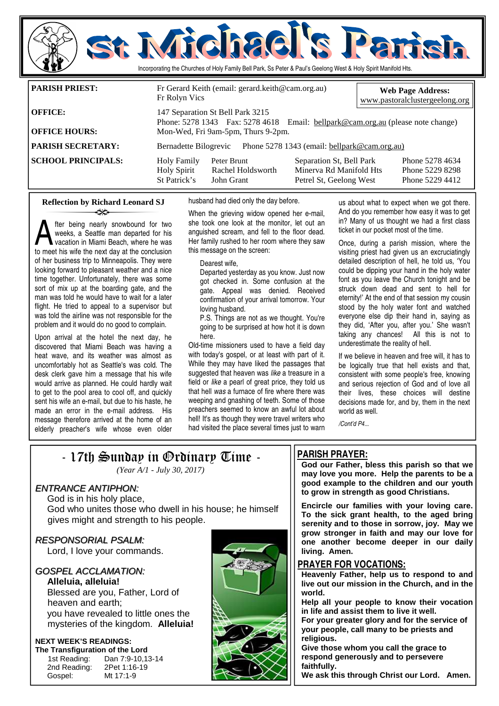

**OFFICE HOURS:** Mon-Wed, Fri 9am-5pm, Thurs 9-2pm.

**PARISH SECRETARY:** Bernadette Bilogrevic Phone 5278 1343 (email: bellpark@cam.org.au)

**SCHOOL PRINCIPALS:** Holy Family Peter Brunt Separation St, Bell Park Phone 5278 4634<br>Holy Spirit Rachel Holdsworth Minerya Rd Manifold Hts Phone 5229 8298

husband had died only the day before.

fter being nearly snowbound for two weeks, a Seattle man departed for his vacation in Miami Beach, where he was to meet his wife the next day at the conclusion of her business trip to Minneapolis. They were looking forward to pleasant weather and a nice time together. Unfortunately, there was some sort of mix up at the boarding gate, and the man was told he would have to wait for a later flight. He tried to appeal to a supervisor but was told the airline was not responsible for the problem and it would do no good to complain.

**Reflection by Richard Leonard SJ** 

ન્≫

Upon arrival at the hotel the next day, he discovered that Miami Beach was having a heat wave, and its weather was almost as uncomfortably hot as Seattle's was cold. The desk clerk gave him a message that his wife would arrive as planned. He could hardly wait to get to the pool area to cool off, and quickly sent his wife an e-mail, but due to his haste, he made an error in the e-mail address. His message therefore arrived at the home of an elderly preacher's wife whose even older When the grieving widow opened her e-mail, she took one look at the monitor, let out an anguished scream, and fell to the floor dead. Her family rushed to her room where they saw this message on the screen:

Holy Spirit Rachel Holdsworth Minerva Rd Manifold Hts Phone 5229 8298<br>St Patrick's John Grant Petrel St. Geelong West Phone 5229 4412

Petrel St, Geelong West

Dearest wife,

Departed yesterday as you know. Just now got checked in. Some confusion at the gate. Appeal was denied. Received confirmation of your arrival tomorrow. Your loving husband.

P.S. Things are not as we thought. You're going to be surprised at how hot it is down here.

Old-time missioners used to have a field day with today's gospel, or at least with part of it. While they may have liked the passages that suggested that heaven was *like* a treasure in a field or *like* a pearl of great price, they told us that hell *was* a furnace of fire where there was weeping and gnashing of teeth. Some of those preachers seemed to know an awful lot about hell! It's as though they were travel writers who had visited the place several times just to warn

us about what to expect when we got there. And do you remember how easy it was to get in? Many of us thought we had a first class ticket in our pocket most of the time.

Once, during a parish mission, where the visiting priest had given us an excruciatingly detailed description of hell, he told us, 'You could be dipping your hand in the holy water font as you leave the Church tonight and be struck down dead and sent to hell for eternity!' At the end of that session my cousin stood by the holy water font and watched everyone else dip their hand in, saying as they did, 'After you, after you.' She wasn't taking any chances! All this is not to underestimate the reality of hell.

If we believe in heaven and free will, it has to be logically true that hell exists and that, consistent with some people's free, knowing and serious rejection of God and of love all their lives, these choices will destine decisions made for, and by, them in the next world as well.

*/Cont'd P4...* 

# - 17th Sunday in Ordinary Time -

*(Year A/1 - July 30, 2017)* 

# ENTRANCE ANTIPHON:

 God is in his holy place, God who unites those who dwell in his house; he himself gives might and strength to his people.

RESPONSORIAL PSALM: Lord, I love your commands.

# GOSPEL ACCLAMATION:

**Alleluia, alleluia!**  Blessed are you, Father, Lord of heaven and earth; you have revealed to little ones the mysteries of the kingdom. **Alleluia!** 

### **NEXT WEEK'S READINGS: The Transfiguration of the Lord**

 2nd Reading: 2Pet 1:16-19 Gospel: Mt 17:1-9

1st Reading: Dan 7:9-10,13-14



# **PARISH PRAYER:**

**God our Father, bless this parish so that we may love you more. Help the parents to be a good example to the children and our youth to grow in strength as good Christians.** 

**Encircle our families with your loving care. To the sick grant health, to the aged bring serenity and to those in sorrow, joy. May we grow stronger in faith and may our love for one another become deeper in our daily living. Amen.** 

# **PRAYER FOR VOCATIONS:**

**Heavenly Father, help us to respond to and live out our mission in the Church, and in the world.** 

**Help all your people to know their vocation in life and assist them to live it well.** 

**For your greater glory and for the service of your people, call many to be priests and religious.** 

**Give those whom you call the grace to respond generously and to persevere faithfully.** 

**We ask this through Christ our Lord. Amen.**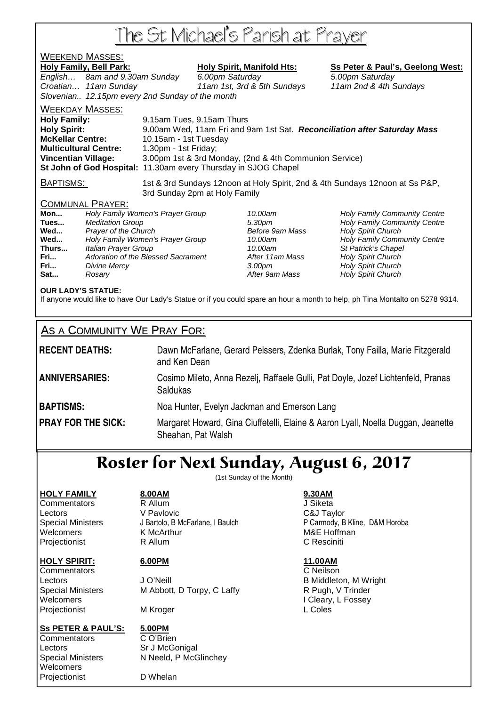# The St Michael's Parish at Prayer

# **WEEKEND MASSES:**<br>Holy Family, Bell Park:

# **Holy Spirit, Manifold Hts: Ss Peter & Paul's, Geelong West:**

English... 8am and 9.30am Sunday 6.00pm Saturday 6.00 5.00pm Saturday Croatian… 11am Sunday 11am 1st, 3rd & 5th Sundays 11am 2nd & 4th Sundays Slovenian.. 12.15pm every 2nd Sunday of the month WEEKDAY MASSES:

**Holy Family:** 9.15am Tues, 9.15am Thurs **Holy Spirit:** 9.00am Wed, 11am Fri and 9am 1st Sat. **Reconciliation after Saturday Mass McKellar Centre:** 10.15am - 1st Tuesday **Multicultural Centre:** 1.30pm - 1st Friday; **Vincentian Village:** 3.00pm 1st & 3rd Monday, (2nd & 4th Communion Service) **St John of God Hospital:** 11.30am every Thursday in SJOG Chapel

BAPTISMS: 1st & 3rd Sundays 12noon at Holy Spirit, 2nd & 4th Sundays 12noon at Ss P&P, 3rd Sunday 2pm at Holy Family

## COMMUNAL PRAYER:

| Mon   | Holy Family Women's Prayer Group   |
|-------|------------------------------------|
| Tues  | <b>Meditation Group</b>            |
| Wed   | Prayer of the Church               |
| Wed   | Holy Family Women's Prayer Group   |
| Thurs | Italian Prayer Group               |
| Fri   | Adoration of the Blessed Sacrament |
| Fri   | <b>Divine Mercy</b>                |
| Sat   | Rosary                             |

**Before 9am Mass Holy Spirit Church Before 9am Mass Holy Spirit Church After 11am Mass Holy Spirit Church Franch 3.00pm** Holy Spirit Church After 9am Mass **Holy Spirit Church** 

10.00am **Holy Family Community Centre Tues 3.30pm Holy Family Community Centre** 10.00am **Holy Family Community Centre** 10.00am St Patrick's Chapel

## **OUR LADY'S STATUE:**

If anyone would like to have Our Lady's Statue or if you could spare an hour a month to help, ph Tina Montalto on 5278 9314.

# AS A COMMUNITY WE PRAY FOR:

| <b>RECENT DEATHS:</b>     | Dawn McFarlane, Gerard Pelssers, Zdenka Burlak, Tony Failla, Marie Fitzgerald<br>and Ken Dean          |
|---------------------------|--------------------------------------------------------------------------------------------------------|
| <b>ANNIVERSARIES:</b>     | Cosimo Mileto, Anna Rezelj, Raffaele Gulli, Pat Doyle, Jozef Lichtenfeld, Pranas<br>Saldukas           |
| <b>BAPTISMS:</b>          | Noa Hunter, Evelyn Jackman and Emerson Lang                                                            |
| <b>PRAY FOR THE SICK:</b> | Margaret Howard, Gina Ciuffetelli, Elaine & Aaron Lyall, Noella Duggan, Jeanette<br>Sheahan, Pat Walsh |

# Roster for Next Sunday, August 6, 2017

(1st Sunday of the Month)

## **HOLY FAMILY 8.00AM 9.30AM**

Commentators R Allum J Siketa Lectors V Pavlovic C&J Taylor Welcomers **K McArthur MAC 1999** M&E Hoffman Projectionist R Allum C Resciniti

# **HOLY SPIRIT: 6.00PM 11.00AM**

Commentators C Neilson Projectionist MKroger MAI MAI L Coles

Lectors **J O'Neill** J O'Neill **B Middleton, M Wright** Special Ministers M Abbott, D Torpy, C Laffy **R** Pugh, V Trinder Welcomers I Cleary, L Fossey

# **Ss PETER & PAUL'S: 5.00PM**

Commentators C O'Brien Lectors Sr J McGonigal Welcomers Projectionist D Whelan

Special Ministers N Neeld, P McGlinchey

Special Ministers J Bartolo, B McFarlane, I Baulch P Carmody, B Kline, D&M Horoba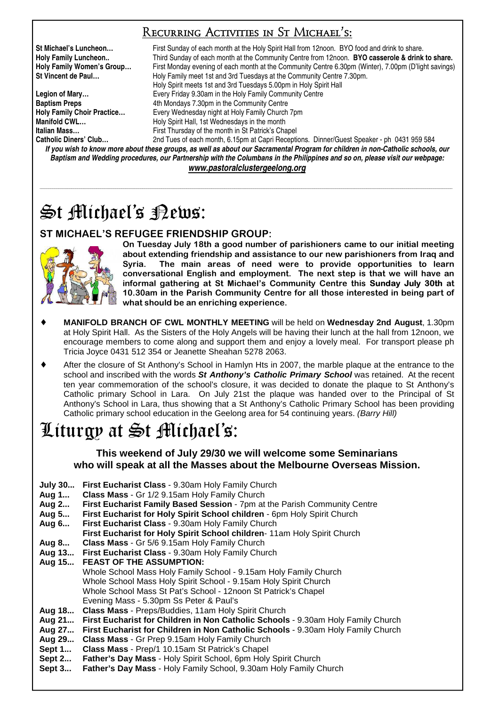# Recurring Activities in St Michael's:

**St Michael's Luncheon…** First Sunday of each month at the Holy Spirit Hall from 12noon. BYO food and drink to share. **Holy Family Luncheon..** Third Sunday of each month at the Community Centre from 12noon. **BYO casserole & drink to share. Holy Family Women's Group…** First Monday evening of each month at the Community Centre 6.30pm (Winter), 7.00pm (D'light savings) **St Vincent de Paul…** Holy Family meet 1st and 3rd Tuesdays at the Community Centre 7.30pm. Holy Spirit meets 1st and 3rd Tuesdays 5.00pm in Holy Spirit Hall **Legion of Mary…** Every Friday 9.30am in the Holy Family Community Centre **Baptism Preps 4th Mondays 7.30pm in the Community Centre Holy Family Choir Practice…** Every Wednesday night at Holy Family Church 7pm **Manifold CWL... Holy Spirit Hall, 1st Wednesdays in the month Italian Mass…** First Thursday of the month in St Patrick's Chapel 2nd Tues of each month, 6.15pm at Capri Receptions. Dinner/Guest Speaker - ph 0431 959 584

*If you wish to know more about these groups, as well as about our Sacramental Program for children in non-Catholic schools, our Baptism and Wedding procedures, our Partnership with the Columbans in the Philippines and so on, please visit our webpage: www.pastoralclustergeelong.org*

\_\_\_\_\_\_\_\_\_\_\_\_\_\_\_\_\_\_\_\_\_\_\_\_\_\_\_\_\_\_\_\_\_\_\_\_\_\_\_\_\_\_\_\_\_\_\_\_\_\_\_\_\_\_\_\_\_\_\_\_\_\_\_\_\_\_\_\_\_\_\_\_\_\_\_\_\_\_\_\_\_\_\_\_\_\_\_\_\_\_\_\_\_\_\_\_\_\_\_\_\_\_\_\_\_\_\_\_\_\_\_\_\_\_\_\_\_\_\_\_\_\_\_\_\_\_\_\_\_\_\_\_\_\_\_\_\_\_\_\_\_\_\_\_\_\_\_\_\_\_\_\_\_\_\_\_\_\_\_\_\_\_\_\_\_\_\_\_\_\_\_\_\_\_\_\_\_\_\_\_\_\_\_\_\_\_\_\_\_\_\_\_\_\_\_\_\_

# $\mathfrak{S}$ t Michael's Pews:

# ST MICHAEL'S REFUGEE FRIENDSHIP GROUP:



On Tuesday July 18th a good number of parishioners came to our initial meeting about extending friendship and assistance to our new parishioners from Iraq and Syria. The main areas of need were to provide opportunities to learn conversational English and employment. The next step is that we will have an informal gathering at St Michael's Community Centre this Sunday July 30th at 10.30am in the Parish Community Centre for all those interested in being part of what should be an enriching experience.

- ♦ **MANIFOLD BRANCH OF CWL MONTHLY MEETING** will be held on **Wednesday 2nd August**, 1.30pm at Holy Spirit Hall. As the Sisters of the Holy Angels will be having their lunch at the hall from 12noon, we encourage members to come along and support them and enjoy a lovely meal. For transport please ph Tricia Joyce 0431 512 354 or Jeanette Sheahan 5278 2063.
- After the closure of St Anthony's School in Hamlyn Hts in 2007, the marble plaque at the entrance to the school and inscribed with the words **St Anthony's Catholic Primary School** was retained. At the recent ten year commemoration of the school's closure, it was decided to donate the plaque to St Anthony's Catholic primary School in Lara. On July 21st the plaque was handed over to the Principal of St Anthony's School in Lara, thus showing that a St Anthony's Catholic Primary School has been providing Catholic primary school education in the Geelong area for 54 continuing years. (Barry Hill)

# Liturgy at St Michael's:

**This weekend of July 29/30 we will welcome some Seminarians who will speak at all the Masses about the Melbourne Overseas Mission.** 

- **July 30... First Eucharist Class** 9.30am Holy Family Church
- **Aug 1... Class Mass** Gr 1/2 9.15am Holy Family Church
- **Aug 2... First Eucharist Family Based Session** 7pm at the Parish Community Centre
- **Aug 5... First Eucharist for Holy Spirit School children** 6pm Holy Spirit Church
- **Aug 6... First Eucharist Class** 9.30am Holy Family Church
- **First Eucharist for Holy Spirit School children** 11am Holy Spirit Church
- **Aug 8... Class Mass** Gr 5/6 9.15am Holy Family Church
- **Aug 13... First Eucharist Class** 9.30am Holy Family Church
- **Aug 15... FEAST OF THE ASSUMPTION:** 
	- Whole School Mass Holy Family School 9.15am Holy Family Church Whole School Mass Holy Spirit School - 9.15am Holy Spirit Church Whole School Mass St Pat's School - 12noon St Patrick's Chapel Evening Mass - 5.30pm Ss Peter & Paul's
- 
- **Aug 18... Class Mass** Preps/Buddies, 11am Holy Spirit Church **Aug 21... First Eucharist for Children in Non Catholic Schools** - 9.30am Holy Family Church
- **Aug 27... First Eucharist for Children in Non Catholic Schools** 9.30am Holy Family Church
- **Aug 29... Class Mass** Gr Prep 9.15am Holy Family Church
- **Sept 1... Class Mass** Prep/1 10.15am St Patrick's Chapel
- **Sept 2... Father's Day Mass** Holy Spirit School, 6pm Holy Spirit Church
- **Sept 3... Father's Day Mass** Holy Family School, 9.30am Holy Family Church